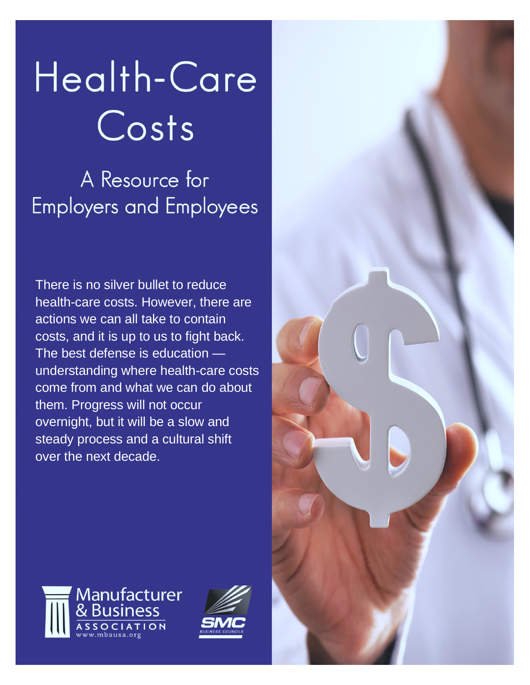# Health-Care Costs

A Resource for **Employers and Employees** 

There is no silver bullet to reduce health-care costs. However, there are actions we can all take to contain costs, and it is up to us to fight back. The best defense is education understanding where health-care costs come from and what we can do about them. Progress will not occur overnight, but it will be a slow and steady process and a cultural shift over the next decade.





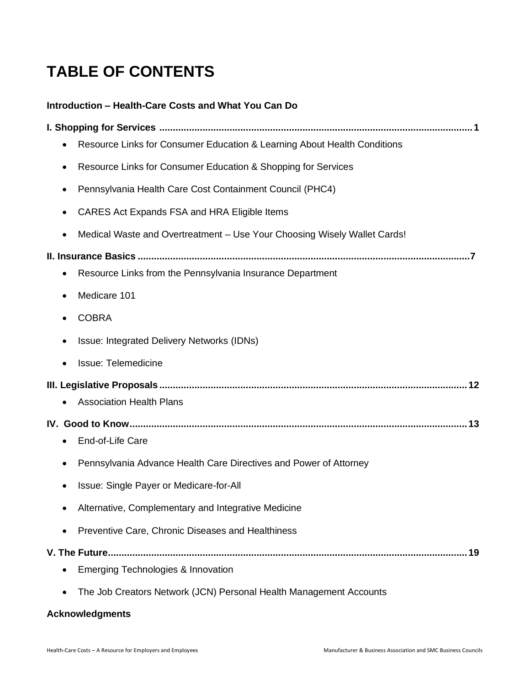# **TABLE OF CONTENTS**

## **Introduction – [Health-Care Costs and What You Can Do](#page-2-0)**

| Resource Links for Consumer Education & Learning About Health Conditions<br>٠         |
|---------------------------------------------------------------------------------------|
| Resource Links for Consumer Education & Shopping for Services<br>٠                    |
| Pennsylvania Health Care Cost Containment Council (PHC4)<br>٠                         |
| CARES Act Expands FSA and HRA Eligible Items                                          |
| Medical Waste and Overtreatment - Use Your Choosing Wisely Wallet Cards!<br>$\bullet$ |
|                                                                                       |
| Resource Links from the Pennsylvania Insurance Department                             |
| Medicare 101<br>٠                                                                     |
| <b>COBRA</b>                                                                          |
| Issue: Integrated Delivery Networks (IDNs)                                            |
| <b>Issue: Telemedicine</b><br>٠                                                       |
| <b>Association Health Plans</b>                                                       |
| IV.                                                                                   |
| End-of-Life Care                                                                      |
| Pennsylvania Advance Health Care Directives and Power of Attorney<br>٠                |
| Issue: Single Payer or Medicare-for-All                                               |
| Alternative, Complementary and Integrative Medicine                                   |
| Preventive Care, Chronic Diseases and Healthiness                                     |
|                                                                                       |
| Emerging Technologies & Innovation                                                    |
| The Job Creators Network (JCN) Personal Health Management Accounts                    |

## **[Acknowledgments](#page-25-0)**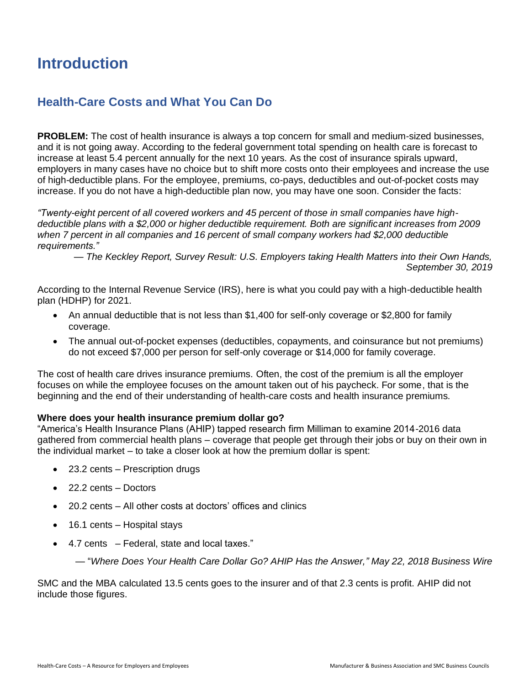# <span id="page-2-0"></span>**Introduction**

## **Health-Care Costs and What You Can Do**

**PROBLEM:** The cost of health insurance is always a top concern for small and medium-sized businesses, and it is not going away. According to the federal government total spending on health care is forecast to increase at least 5.4 percent annually for the next 10 years. As the cost of insurance spirals upward, employers in many cases have no choice but to shift more costs onto their employees and increase the use of high-deductible plans. For the employee, premiums, co-pays, deductibles and out-of-pocket costs may increase. If you do not have a high-deductible plan now, you may have one soon. Consider the facts:

*"Twenty-eight percent of all covered workers and 45 percent of those in small companies have highdeductible plans with a \$2,000 or higher deductible requirement. Both are significant increases from 2009 when 7 percent in all companies and 16 percent of small company workers had \$2,000 deductible requirements."*

*— The Keckley Report, Survey Result: U.S. Employers taking Health Matters into their Own Hands, September 30, 2019*

According to the Internal Revenue Service (IRS), here is what you could pay with a high-deductible health plan (HDHP) for 2021.

- An annual deductible that is not less than \$1,400 for self-only coverage or \$2,800 for family coverage.
- The annual out-of-pocket expenses (deductibles, copayments, and coinsurance but not premiums) do not exceed \$7,000 per person for self-only coverage or \$14,000 for family coverage.

The cost of health care drives insurance premiums. Often, the cost of the premium is all the employer focuses on while the employee focuses on the amount taken out of his paycheck. For some, that is the beginning and the end of their understanding of health-care costs and health insurance premiums.

## **Where does your health insurance premium dollar go?**

"America's Health Insurance Plans (AHIP) tapped research firm Milliman to examine 2014-2016 data gathered from commercial health plans – coverage that people get through their jobs or buy on their own in the individual market – to take a closer look at how the premium dollar is spent:

- 23.2 cents Prescription drugs
- 22.2 cents Doctors
- 20.2 cents All other costs at doctors' offices and clinics
- 16.1 cents Hospital stays
- 4.7 cents Federal, state and local taxes."

— "*Where Does Your Health Care Dollar Go? AHIP Has the Answer," May 22, 2018 Business Wire*

SMC and the MBA calculated 13.5 cents goes to the insurer and of that 2.3 cents is profit. AHIP did not include those figures.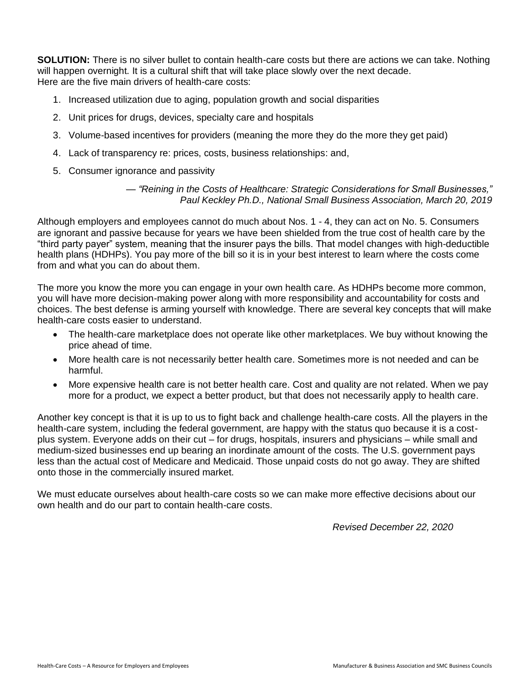**SOLUTION:** There is no silver bullet to contain health-care costs but there are actions we can take. Nothing will happen overnight. It is a cultural shift that will take place slowly over the next decade. Here are the five main drivers of health-care costs:

- 1. Increased utilization due to aging, population growth and social disparities
- 2. Unit prices for drugs, devices, specialty care and hospitals
- 3. Volume-based incentives for providers (meaning the more they do the more they get paid)
- 4. Lack of transparency re: prices, costs, business relationships: and,
- 5. Consumer ignorance and passivity

```
— "Reining in the Costs of Healthcare: Strategic Considerations for Small Businesses,"
Paul Keckley Ph.D., National Small Business Association, March 20, 2019
```
Although employers and employees cannot do much about Nos. 1 - 4, they can act on No. 5. Consumers are ignorant and passive because for years we have been shielded from the true cost of health care by the "third party payer" system, meaning that the insurer pays the bills. That model changes with high-deductible health plans (HDHPs). You pay more of the bill so it is in your best interest to learn where the costs come from and what you can do about them.

The more you know the more you can engage in your own health care. As HDHPs become more common, you will have more decision-making power along with more responsibility and accountability for costs and choices. The best defense is arming yourself with knowledge. There are several key concepts that will make health-care costs easier to understand.

- The health-care marketplace does not operate like other marketplaces. We buy without knowing the price ahead of time.
- More health care is not necessarily better health care. Sometimes more is not needed and can be harmful.
- More expensive health care is not better health care. Cost and quality are not related. When we pay more for a product, we expect a better product, but that does not necessarily apply to health care.

Another key concept is that it is up to us to fight back and challenge health-care costs. All the players in the health-care system, including the federal government, are happy with the status quo because it is a costplus system. Everyone adds on their cut – for drugs, hospitals, insurers and physicians – while small and medium-sized businesses end up bearing an inordinate amount of the costs. The U.S. government pays less than the actual cost of Medicare and Medicaid. Those unpaid costs do not go away. They are shifted onto those in the commercially insured market.

<span id="page-3-0"></span>We must educate ourselves about health-care costs so we can make more effective decisions about our own health and do our part to contain health-care costs.

*Revised December 22, 2020*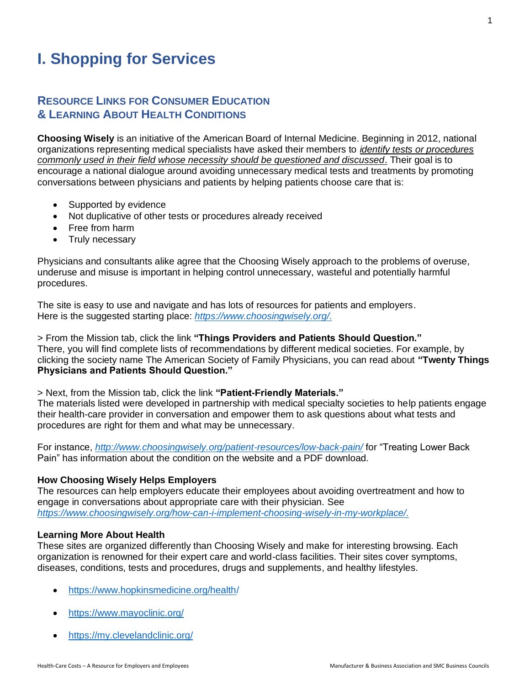# **I. Shopping for Services**

## **RESOURCE LINKS FOR CONSUMER EDUCATION & LEARNING ABOUT HEALTH CONDITIONS**

**Choosing Wisely** is an initiative of the American Board of Internal Medicine. Beginning in 2012, national organizations representing medical specialists have asked their members to *identify tests or procedures commonly used in their field whose necessity should be questioned and discussed*. Their goal is to encourage a national dialogue around avoiding unnecessary medical tests and treatments by promoting conversations between physicians and patients by helping patients choose care that is:

- Supported by evidence
- Not duplicative of other tests or procedures already received
- Free from harm
- Truly necessary

Physicians and consultants alike agree that the Choosing Wisely approach to the problems of overuse, underuse and misuse is important in helping control unnecessary, wasteful and potentially harmful procedures.

The site is easy to use and navigate and has lots of resources for patients and employers. Here is the suggested starting place: *[https://www.choosingwisely.org/.](https://www.choosingwisely.org/)*

> From the Mission tab, click the link **"Things Providers and Patients Should Question."** There, you will find complete lists of recommendations by different medical societies. For example, by clicking the society name The American Society of Family Physicians, you can read about **"Twenty Things Physicians and Patients Should Question."** 

> Next, from the Mission tab, click the link **"Patient-Friendly Materials."**

The materials listed were developed in partnership with medical specialty societies to help patients engage their health-care provider in conversation and empower them to ask questions about what tests and procedures are right for them and what may be unnecessary.

For instance, *<http://www.choosingwisely.org/patient-resources/low-back-pain/>* for "Treating Lower Back Pain" has information about the condition on the website and a PDF download.

## **How Choosing Wisely Helps Employers**

The resources can help employers educate their employees about avoiding overtreatment and how to engage in conversations about appropriate care with their physician. See *[https://www.choosingwisely.org/how-can-i-implement-choosing-wisely-in-my-workplace/.](https://www.choosingwisely.org/how-can-i-implement-choosing-wisely-in-my-workplace/)*

## **Learning More About Health**

These sites are organized differently than Choosing Wisely and make for interesting browsing. Each organization is renowned for their expert care and world-class facilities. Their sites cover symptoms, diseases, conditions, tests and procedures, drugs and supplements, and healthy lifestyles.

- [https://www.hopkinsmedicine.org/health/](https://www.hopkinsmedicine.org/health)
- <https://www.mayoclinic.org/>
- <https://my.clevelandclinic.org/>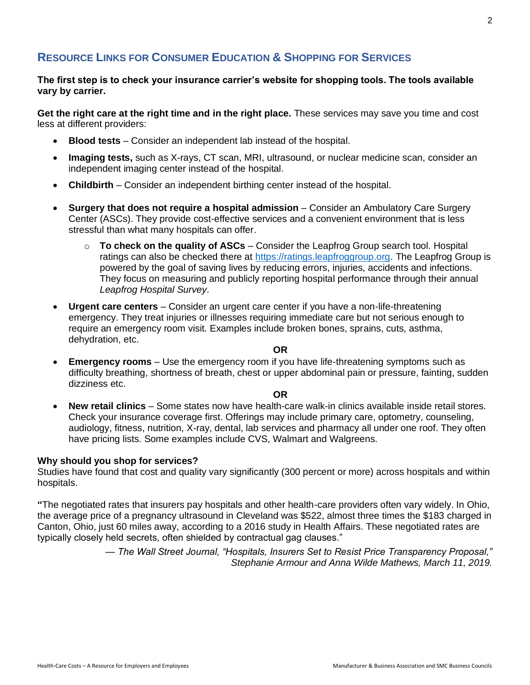## **RESOURCE LINKS FOR CONSUMER EDUCATION & SHOPPING FOR SERVICES**

## **The first step is to check your insurance carrier's website for shopping tools. The tools available vary by carrier.**

**Get the right care at the right time and in the right place.** These services may save you time and cost less at different providers:

- **Blood tests** Consider an independent lab instead of the hospital.
- **Imaging tests,** such as X-rays, CT scan, MRI, ultrasound, or nuclear medicine scan, consider an independent imaging center instead of the hospital.
- **Childbirth**  Consider an independent birthing center instead of the hospital.
- **Surgery that does not require a hospital admission** Consider an Ambulatory Care Surgery Center (ASCs). They provide cost-effective services and a convenient environment that is less stressful than what many hospitals can offer.
	- o **To check on the quality of ASCs** Consider the Leapfrog Group search tool. Hospital ratings can also be checked there at [https://ratings.leapfroggroup.org.](https://ratings.leapfroggroup.org/) The Leapfrog Group is powered by the goal of saving lives by reducing errors, injuries, accidents and infections. They focus on measuring and publicly reporting hospital performance through their annual *Leapfrog Hospital Survey*.
- **Urgent care centers** Consider an urgent care center if you have a non-life-threatening emergency. They treat injuries or illnesses requiring immediate care but not serious enough to require an emergency room visit. Examples include broken bones, sprains, cuts, asthma, dehydration, etc.

#### **OR**

• **Emergency rooms** – Use the emergency room if you have life-threatening symptoms such as difficulty breathing, shortness of breath, chest or upper abdominal pain or pressure, fainting, sudden dizziness etc.

## **OR**

• **New retail clinics** – Some states now have health-care walk-in clinics available inside retail stores. Check your insurance coverage first. Offerings may include primary care, optometry, counseling, audiology, fitness, nutrition, X-ray, dental, lab services and pharmacy all under one roof. They often have pricing lists. Some examples include CVS, Walmart and Walgreens.

#### **Why should you shop for services?**

Studies have found that cost and quality vary significantly (300 percent or more) across hospitals and within hospitals.

**"**The negotiated rates that insurers pay hospitals and other health-care providers often vary widely. In Ohio, the average price of a pregnancy ultrasound in Cleveland was \$522, almost three times the \$183 charged in Canton, Ohio, just 60 miles away, according to a 2016 study in Health Affairs. These negotiated rates are typically closely held secrets, often shielded by contractual gag clauses."

> — *The Wall Street Journal, "Hospitals, Insurers Set to Resist Price Transparency Proposal," Stephanie Armour and Anna Wilde Mathews, March 11, 2019.*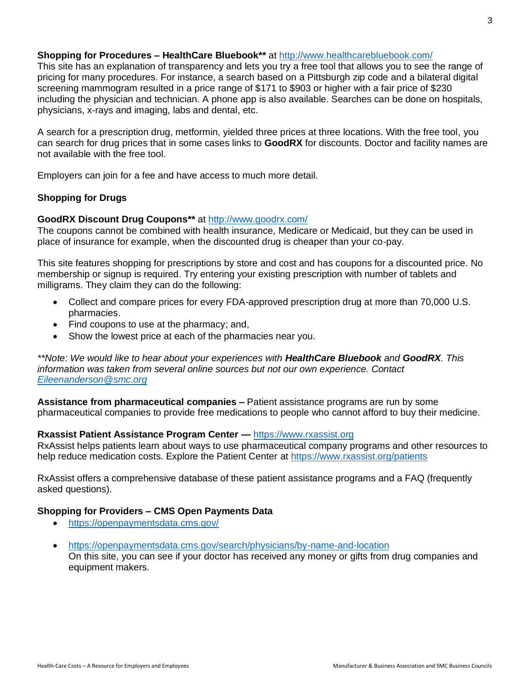## **Shopping for Procedures – HealthCare Bluebook\*\*** at <http://www.healthcarebluebook.com/>

This site has an explanation of transparency and lets you try a free tool that allows you to see the range of pricing for many procedures. For instance, a search based on a Pittsburgh zip code and a bilateral digital screening mammogram resulted in a price range of \$171 to \$903 or higher with a fair price of \$230 including the physician and technician. A phone app is also available. Searches can be done on hospitals, physicians, x-rays and imaging, labs and dental, etc.

A search for a prescription drug, metformin, yielded three prices at three locations. With the free tool, you can search for drug prices that in some cases links to **GoodRX** for discounts. Doctor and facility names are not available with the free tool.

Employers can join for a fee and have access to much more detail.

## **Shopping for Drugs**

## **GoodRX Discount Drug Coupons\*\*** at <http://www.goodrx.com/>

The coupons cannot be combined with health insurance, Medicare or Medicaid, but they can be used in place of insurance for example, when the discounted drug is cheaper than your co-pay.

This site features shopping for prescriptions by store and cost and has coupons for a discounted price. No membership or signup is required. Try entering your existing prescription with number of tablets and milligrams. They claim they can do the following:

- Collect and compare prices for every FDA-approved prescription drug at more than 70,000 U.S. pharmacies.
- Find coupons to use at the pharmacy; and,
- Show the lowest price at each of the pharmacies near you.

*\*\*Note: We would like to hear about your experiences with HealthCare Bluebook and GoodRX. This information was taken from several online sources but not our own experience. Contact [Eileenanderson@smc.org](mailto:Eileenanderson@smc.org)*

**Assistance from pharmaceutical companies –** Patient assistance programs are run by some pharmaceutical companies to provide free medications to people who cannot afford to buy their medicine.

## **Rxassist Patient Assistance Program Center —** [https://www.rxassist.org](https://www.rxassist.org/)

RxAssist helps patients learn about ways to use pharmaceutical company programs and other resources to help reduce medication costs. Explore the Patient Center at https://www.rxassist.org/patients

RxAssist offers a comprehensive database of these patient assistance programs and a FAQ (frequently asked questions).

## **Shopping for Providers – CMS Open Payments Data**

- <https://openpaymentsdata.cms.gov/>
- <https://openpaymentsdata.cms.gov/search/physicians/by-name-and-location> On this site, you can see if your doctor has received any money or gifts from drug companies and equipment makers.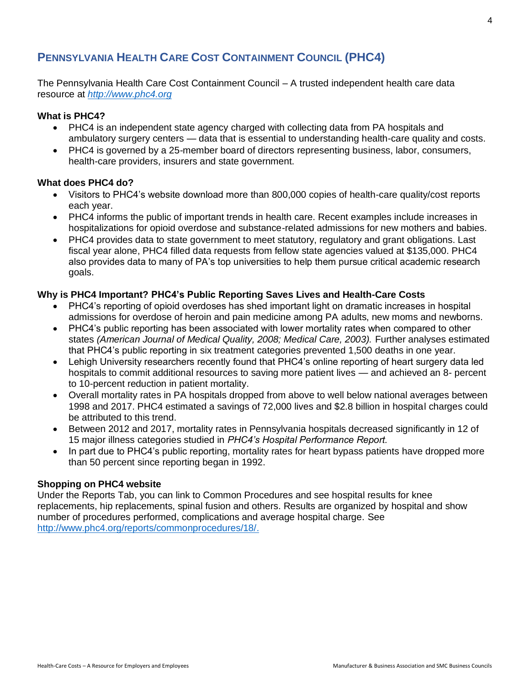## **PENNSYLVANIA HEALTH CARE COST CONTAINMENT COUNCIL (PHC4)**

The Pennsylvania Health Care Cost Containment Council – A trusted independent health care data resource at *[http://www.phc4.org](http://www.phc4.org/)*

## **What is PHC4?**

- PHC4 is an independent state agency charged with collecting data from PA hospitals and ambulatory surgery centers — data that is essential to understanding health-care quality and costs.
- PHC4 is governed by a 25-member board of directors representing business, labor, consumers, health-care providers, insurers and state government.

## **What does PHC4 do?**

- Visitors to PHC4's website download more than 800,000 copies of health-care quality/cost reports each year.
- PHC4 informs the public of important trends in health care. Recent examples include increases in hospitalizations for opioid overdose and substance-related admissions for new mothers and babies.
- PHC4 provides data to state government to meet statutory, regulatory and grant obligations. Last fiscal year alone, PHC4 filled data requests from fellow state agencies valued at \$135,000. PHC4 also provides data to many of PA's top universities to help them pursue critical academic research goals.

## **Why is PHC4 Important? PHC4's Public Reporting Saves Lives and Health-Care Costs**

- PHC4's reporting of opioid overdoses has shed important light on dramatic increases in hospital admissions for overdose of heroin and pain medicine among PA adults, new moms and newborns.
- PHC4's public reporting has been associated with lower mortality rates when compared to other states *(American Journal of Medical Quality, 2008; Medical Care, 2003).* Further analyses estimated that PHC4's public reporting in six treatment categories prevented 1,500 deaths in one year.
- Lehigh University researchers recently found that PHC4's online reporting of heart surgery data led hospitals to commit additional resources to saving more patient lives — and achieved an 8- percent to 10-percent reduction in patient mortality.
- Overall mortality rates in PA hospitals dropped from above to well below national averages between 1998 and 2017. PHC4 estimated a savings of 72,000 lives and \$2.8 billion in hospital charges could be attributed to this trend.
- Between 2012 and 2017, mortality rates in Pennsylvania hospitals decreased significantly in 12 of 15 major illness categories studied in *PHC4's Hospital Performance Report.*
- In part due to PHC4's public reporting, mortality rates for heart bypass patients have dropped more than 50 percent since reporting began in 1992.

## **Shopping on PHC4 website**

Under the Reports Tab, you can link to Common Procedures and see hospital results for knee replacements, hip replacements, spinal fusion and others. Results are organized by hospital and show number of procedures performed, complications and average hospital charge. See [http://www.phc4.org/reports/commonprocedures/18/.](http://www.phc4.org/reports/commonprocedures/18/)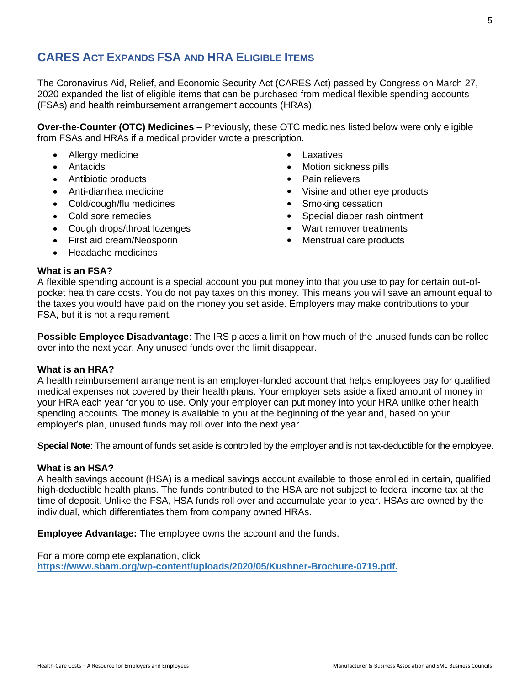## **CARES ACT EXPANDS FSA AND HRA ELIGIBLE ITEMS**

The Coronavirus Aid, Relief, and Economic Security Act (CARES Act) passed by Congress on March 27, 2020 expanded the list of eligible items that can be purchased from medical flexible spending accounts (FSAs) and health reimbursement arrangement accounts (HRAs).

**Over-the-Counter (OTC) Medicines** – Previously, these OTC medicines listed below were only eligible from FSAs and HRAs if a medical provider wrote a prescription.

- Allergy medicine **by a struck of the Callergy medicine** and the contract of the Laxatives
- 
- Antibiotic products <br>• Pain relievers
- 
- Cold/cough/flu medicines <br>• Smoking cessation
- 
- Cough drops/throat lozenges **and the couple of the Cough drops**  $\bullet$  Wart remover treatments
- First aid cream/Neosporin **•** Menstrual care products
- Headache medicines
- 
- Antacids Motion sickness pills
	-
- Anti-diarrhea medicine **Anti-diarrhea medicine Anti-diarrhea medicine Anti-diarrhea medicine Anti-**
	-
- Cold sore remedies **•** Special diaper rash ointment
	-
	-

## **What is an FSA?**

A flexible spending account is a special account you put money into that you use to pay for certain out-ofpocket health care costs. You do not pay taxes on this money. This means you will save an amount equal to the taxes you would have paid on the money you set aside. Employers may make contributions to your FSA, but it is not a requirement.

**Possible Employee Disadvantage**: The IRS places a limit on how much of the unused funds can be rolled over into the next year. Any unused funds over the limit disappear.

## **What is an HRA?**

A health reimbursement arrangement is an employer-funded account that helps employees pay for qualified medical expenses not covered by their health plans. Your employer sets aside a fixed amount of money in your HRA each year for you to use. Only your employer can put money into your HRA unlike other health spending accounts. The money is available to you at the beginning of the year and, based on your employer's plan, unused funds may roll over into the next year.

**Special Note**: The amount of funds set aside is controlled by the employer and is not tax-deductible for the employee.

## **What is an HSA?**

A health savings account (HSA) is a medical savings account available to those enrolled in certain, qualified high-deductible health plans. The funds contributed to the HSA are not subject to federal income tax at the time of deposit. Unlike the FSA, HSA funds roll over and accumulate year to year. HSAs are owned by the individual, which differentiates them from company owned HRAs.

**Employee Advantage:** The employee owns the account and the funds.

For a more complete explanation, click **[https://www.sbam.org/wp-content/uploads/2020/05/Kushner-Brochure-0719.pdf.](https://www.sbam.org/wp-content/uploads/2020/05/Kushner-Brochure-0719.pdf)**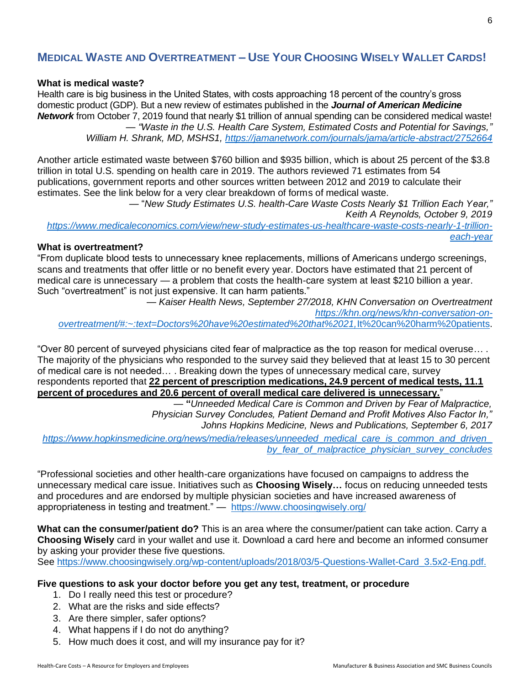## **MEDICAL WASTE AND OVERTREATMENT – USE YOUR CHOOSING WISELY WALLET CARDS!**

#### **What is medical waste?**

Health care is big business in the United States, with costs approaching 18 percent of the country's gross domestic product (GDP). But a new review of estimates published in the *Journal of American Medicine Network* from October 7, 2019 found that nearly \$1 trillion of annual spending can be considered medical waste! *— "Waste in the U.S. Health Care System, Estimated Costs and Potential for Savings,"*

*William H. Shrank, MD, MSHS1,<https://jamanetwork.com/journals/jama/article-abstract/2752664>*

Another article estimated waste between \$760 billion and \$935 billion, which is about 25 percent of the \$3.8 trillion in total U.S. spending on health care in 2019. The authors reviewed 71 estimates from 54 publications, government reports and other sources written between 2012 and 2019 to calculate their estimates. See the link below for a very clear breakdown of forms of medical waste.

— "*New Study Estimates U.S. health-Care Waste Costs Nearly \$1 Trillion Each Year," Keith A Reynolds, October 9, 2019*

*[https://www.medicaleconomics.com/view/new-study-estimates-us-healthcare-waste-costs-nearly-1-trillion](https://www.medicaleconomics.com/view/new-study-estimates-us-healthcare-waste-costs-nearly-1-trillion-each-year)[each-year](https://www.medicaleconomics.com/view/new-study-estimates-us-healthcare-waste-costs-nearly-1-trillion-each-year)*

## **What is overtreatment?**

"From duplicate blood tests to unnecessary knee replacements, millions of Americans undergo screenings, scans and treatments that offer little or no benefit every year. Doctors have estimated that 21 percent of medical care is unnecessary — a problem that costs the health-care system at least \$210 billion a year. Such "overtreatment" is not just expensive. It can harm patients."

*— Kaiser Health News, September 27/2018, KHN Conversation on Overtreatment [https://khn.org/news/khn-conversation-on](https://khn.org/news/khn-conversation-on-overtreatment/#:~:text=Doctors%20have%20estimated%20that%2021,It%20can%20harm%20patients)[overtreatment/#:~:text=Doctors%20have%20estimated%20that%2021,](https://khn.org/news/khn-conversation-on-overtreatment/#:~:text=Doctors%20have%20estimated%20that%2021,It%20can%20harm%20patients)*It%20can%20harm%20patients.

"Over 80 percent of surveyed physicians cited fear of malpractice as the top reason for medical overuse… . The majority of the physicians who responded to the survey said they believed that at least 15 to 30 percent of medical care is not needed… . Breaking down the types of unnecessary medical care, survey respondents reported that **22 percent of prescription medications, 24.9 percent of medical tests, 11.1 percent of procedures and 20.6 percent of overall medical care delivered is unnecessary.**"

— **"***Unneeded Medical Care is Common and Driven by Fear of Malpractice, Physician Survey Concludes, Patient Demand and Profit Motives Also Factor In," Johns Hopkins Medicine, News and Publications, September 6, 2017*

*[https://www.hopkinsmedicine.org/news/media/releases/unneeded\\_medical\\_care\\_is\\_common\\_and\\_driven\\_](https://www.hopkinsmedicine.org/news/media/releases/unneeded_medical_care_is_common_and_driven_by_fear_of_malpractice_physician_survey_concludes) [by\\_fear\\_of\\_malpractice\\_physician\\_survey\\_concludes](https://www.hopkinsmedicine.org/news/media/releases/unneeded_medical_care_is_common_and_driven_by_fear_of_malpractice_physician_survey_concludes)*

"Professional societies and other health-care organizations have focused on campaigns to address the unnecessary medical care issue. Initiatives such as **Choosing Wisely…** focus on reducing unneeded tests and procedures and are endorsed by multiple physician societies and have increased awareness of appropriateness in testing and treatment." — <https://www.choosingwisely.org/>

**What can the consumer/patient do?** This is an area where the consumer/patient can take action. Carry a **Choosing Wisely** card in your wallet and use it. Download a card here and become an informed consumer by asking your provider these five questions.

See [https://www.choosingwisely.org/wp-content/uploads/2018/03/5-Questions-Wallet-Card\\_3.5x2-Eng.pdf.](https://www.choosingwisely.org/wp-content/uploads/2018/03/5-Questions-Wallet-Card_3.5x2-Eng.pdf)

## **Five questions to ask your doctor before you get any test, treatment, or procedure**

- 1. Do I really need this test or procedure?
- 2. What are the risks and side effects?
- 3. Are there simpler, safer options?
- 4. What happens if I do not do anything?
- 5. How much does it cost, and will my insurance pay for it?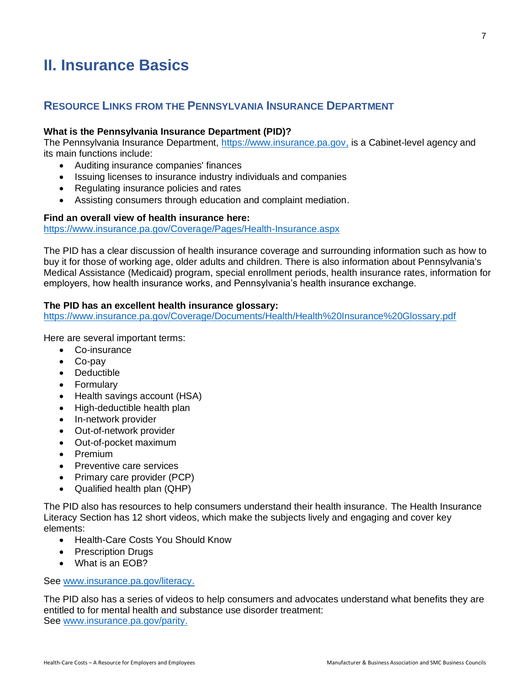# <span id="page-10-0"></span>**II. Insurance Basics**

## **RESOURCE LINKS FROM THE PENNSYLVANIA INSURANCE DEPARTMENT**

## **What is the Pennsylvania Insurance Department (PID)?**

The Pennsylvania Insurance Department, [https://www.insurance.pa.gov,](https://www.insurance.pa.gov/) is a Cabinet-level agency and its main functions include:

- Auditing insurance companies' finances
- Issuing licenses to insurance industry individuals and companies
- Regulating insurance policies and rates
- Assisting consumers through education and complaint mediation.

## **Find an overall view of health insurance here:**

<https://www.insurance.pa.gov/Coverage/Pages/Health-Insurance.aspx>

The PID has a clear discussion of health insurance coverage and surrounding information such as how to buy it for those of working age, older adults and children. There is also information about Pennsylvania's Medical Assistance (Medicaid) program, special enrollment periods, health insurance rates, information for employers, how health insurance works, and Pennsylvania's health insurance exchange.

## **The PID has an excellent health insurance glossary:**

<https://www.insurance.pa.gov/Coverage/Documents/Health/Health%20Insurance%20Glossary.pdf>

Here are several important terms:

- Co-insurance
- Co-pay
- Deductible
- Formulary
- Health savings account (HSA)
- High-deductible health plan
- In-network provider
- Out-of-network provider
- Out-of-pocket maximum
- Premium
- Preventive care services
- Primary care provider (PCP)
- Qualified health plan (QHP)

The PID also has resources to help consumers understand their health insurance. The Health Insurance Literacy Section has 12 short videos, which make the subjects lively and engaging and cover key elements:

- Health-Care Costs You Should Know
- Prescription Drugs
- What is an EOB?

## See [www.insurance.pa.gov/literacy.](http://www.insurance.pa.gov/literacy)

The PID also has a series of videos to help consumers and advocates understand what benefits they are entitled to for mental health and substance use disorder treatment: See [www.insurance.pa.gov/parity.](http://www.insurance.pa.gov/parity)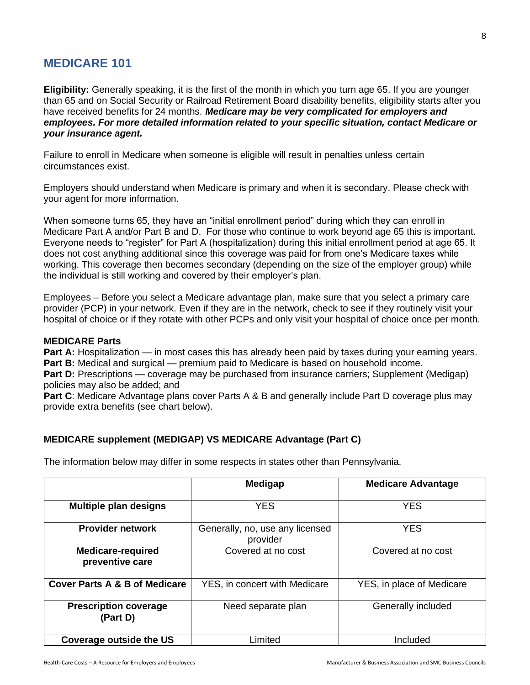## **MEDICARE 101**

**Eligibility:** Generally speaking, it is the first of the month in which you turn age 65. If you are younger than 65 and on Social Security or Railroad Retirement Board disability benefits, eligibility starts after you have received benefits for 24 months. *Medicare may be very complicated for employers and employees. For more detailed information related to your specific situation, contact Medicare or your insurance agent.*

Failure to enroll in Medicare when someone is eligible will result in penalties unless certain circumstances exist.

Employers should understand when Medicare is primary and when it is secondary. Please check with your agent for more information.

When someone turns 65, they have an "initial enrollment period" during which they can enroll in Medicare Part A and/or Part B and D. For those who continue to work beyond age 65 this is important. Everyone needs to "register" for Part A (hospitalization) during this initial enrollment period at age 65. It does not cost anything additional since this coverage was paid for from one's Medicare taxes while working. This coverage then becomes secondary (depending on the size of the employer group) while the individual is still working and covered by their employer's plan.

Employees – Before you select a Medicare advantage plan, make sure that you select a primary care provider (PCP) in your network. Even if they are in the network, check to see if they routinely visit your hospital of choice or if they rotate with other PCPs and only visit your hospital of choice once per month.

## **MEDICARE Parts**

**Part A:** Hospitalization — in most cases this has already been paid by taxes during your earning years. **Part B:** Medical and surgical — premium paid to Medicare is based on household income.

**Part D:** Prescriptions — coverage may be purchased from insurance carriers; Supplement (Medigap) policies may also be added; and

**Part C**: Medicare Advantage plans cover Parts A & B and generally include Part D coverage plus may provide extra benefits (see chart below).

## **MEDICARE supplement (MEDIGAP) VS MEDICARE Advantage (Part C)**

The information below may differ in some respects in states other than Pennsylvania.

|                                             | Medigap                                     | <b>Medicare Advantage</b> |
|---------------------------------------------|---------------------------------------------|---------------------------|
|                                             |                                             |                           |
| <b>Multiple plan designs</b>                | <b>YES</b>                                  | <b>YES</b>                |
| <b>Provider network</b>                     | Generally, no, use any licensed<br>provider | <b>YES</b>                |
| <b>Medicare-required</b><br>preventive care | Covered at no cost                          | Covered at no cost        |
| <b>Cover Parts A &amp; B of Medicare</b>    | YES, in concert with Medicare               | YES, in place of Medicare |
| <b>Prescription coverage</b><br>(Part D)    | Need separate plan                          | Generally included        |
| <b>Coverage outside the US</b>              | Limited                                     | Included                  |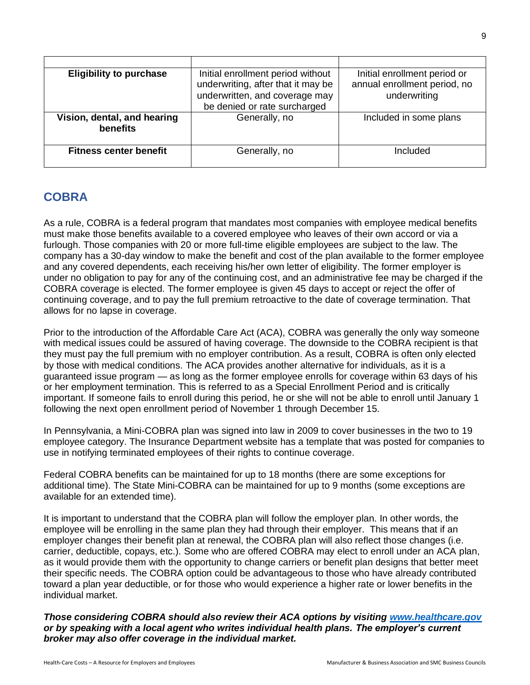| <b>Eligibility to purchase</b>          | Initial enrollment period without<br>underwriting, after that it may be<br>underwritten, and coverage may<br>be denied or rate surcharged | Initial enrollment period or<br>annual enrollment period, no<br>underwriting |
|-----------------------------------------|-------------------------------------------------------------------------------------------------------------------------------------------|------------------------------------------------------------------------------|
| Vision, dental, and hearing<br>benefits | Generally, no                                                                                                                             | Included in some plans                                                       |
| <b>Fitness center benefit</b>           | Generally, no                                                                                                                             | Included                                                                     |

## **COBRA**

As a rule, COBRA is a federal program that mandates most companies with employee medical benefits must make those benefits available to a covered employee who leaves of their own accord or via a furlough. Those companies with 20 or more full-time eligible employees are subject to the law. The company has a 30-day window to make the benefit and cost of the plan available to the former employee and any covered dependents, each receiving his/her own letter of eligibility. The former employer is under no obligation to pay for any of the continuing cost, and an administrative fee may be charged if the COBRA coverage is elected. The former employee is given 45 days to accept or reject the offer of continuing coverage, and to pay the full premium retroactive to the date of coverage termination. That allows for no lapse in coverage.

Prior to the introduction of the Affordable Care Act (ACA), COBRA was generally the only way someone with medical issues could be assured of having coverage. The downside to the COBRA recipient is that they must pay the full premium with no employer contribution. As a result, COBRA is often only elected by those with medical conditions. The ACA provides another alternative for individuals, as it is a guaranteed issue program — as long as the former employee enrolls for coverage within 63 days of his or her employment termination. This is referred to as a Special Enrollment Period and is critically important. If someone fails to enroll during this period, he or she will not be able to enroll until January 1 following the next open enrollment period of November 1 through December 15.

In Pennsylvania, a Mini-COBRA plan was signed into law in 2009 to cover businesses in the two to 19 employee category. The Insurance Department website has a template that was posted for companies to use in notifying terminated employees of their rights to continue coverage.

Federal COBRA benefits can be maintained for up to 18 months (there are some exceptions for additional time). The State Mini-COBRA can be maintained for up to 9 months (some exceptions are available for an extended time).

It is important to understand that the COBRA plan will follow the employer plan. In other words, the employee will be enrolling in the same plan they had through their employer. This means that if an employer changes their benefit plan at renewal, the COBRA plan will also reflect those changes (i.e. carrier, deductible, copays, etc.). Some who are offered COBRA may elect to enroll under an ACA plan, as it would provide them with the opportunity to change carriers or benefit plan designs that better meet their specific needs. The COBRA option could be advantageous to those who have already contributed toward a plan year deductible, or for those who would experience a higher rate or lower benefits in the individual market.

*Those considering COBRA should also review their ACA options by visiting [www.healthcare.gov](http://www.healthcare.gov/) or by speaking with a local agent who writes individual health plans. The employer's current broker may also offer coverage in the individual market.*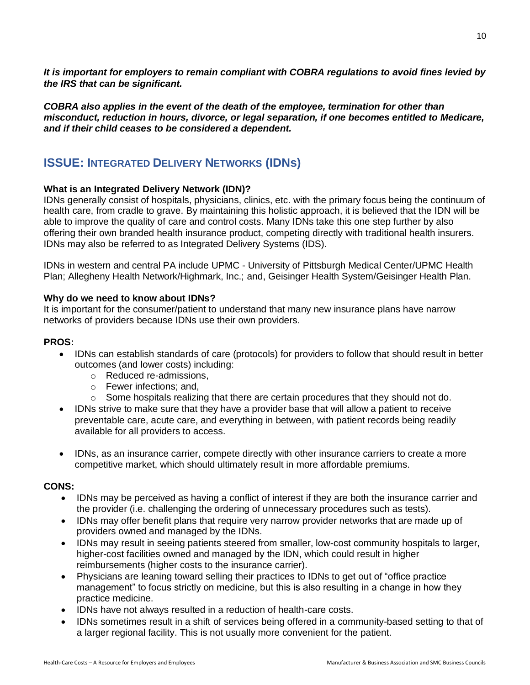*It is important for employers to remain compliant with COBRA regulations to avoid fines levied by the IRS that can be significant.*

*COBRA also applies in the event of the death of the employee, termination for other than misconduct, reduction in hours, divorce, or legal separation, if one becomes entitled to Medicare, and if their child ceases to be considered a dependent.* 

## **ISSUE: INTEGRATED DELIVERY NETWORKS (IDNs)**

## **What is an Integrated Delivery Network (IDN)?**

IDNs generally consist of hospitals, physicians, clinics, etc. with the primary focus being the continuum of health care, from cradle to grave. By maintaining this holistic approach, it is believed that the IDN will be able to improve the quality of care and control costs. Many IDNs take this one step further by also offering their own branded health insurance product, competing directly with traditional health insurers. IDNs may also be referred to as Integrated Delivery Systems (IDS).

IDNs in western and central PA include UPMC - University of Pittsburgh Medical Center/UPMC Health Plan; Allegheny Health Network/Highmark, Inc.; and, Geisinger Health System/Geisinger Health Plan.

## **Why do we need to know about IDNs?**

It is important for the consumer/patient to understand that many new insurance plans have narrow networks of providers because IDNs use their own providers.

#### **PROS:**

- IDNs can establish standards of care (protocols) for providers to follow that should result in better outcomes (and lower costs) including:
	- o Reduced re-admissions,
	- o Fewer infections; and,
	- $\circ$  Some hospitals realizing that there are certain procedures that they should not do.
- IDNs strive to make sure that they have a provider base that will allow a patient to receive preventable care, acute care, and everything in between, with patient records being readily available for all providers to access.
- IDNs, as an insurance carrier, compete directly with other insurance carriers to create a more competitive market, which should ultimately result in more affordable premiums.

## **CONS:**

- IDNs may be perceived as having a conflict of interest if they are both the insurance carrier and the provider (i.e. challenging the ordering of unnecessary procedures such as tests).
- IDNs may offer benefit plans that require very narrow provider networks that are made up of providers owned and managed by the IDNs.
- IDNs may result in seeing patients steered from smaller, low-cost community hospitals to larger, higher-cost facilities owned and managed by the IDN, which could result in higher reimbursements (higher costs to the insurance carrier).
- Physicians are leaning toward selling their practices to IDNs to get out of "office practice management" to focus strictly on medicine, but this is also resulting in a change in how they practice medicine.
- IDNs have not always resulted in a reduction of health-care costs.
- IDNs sometimes result in a shift of services being offered in a community-based setting to that of a larger regional facility. This is not usually more convenient for the patient.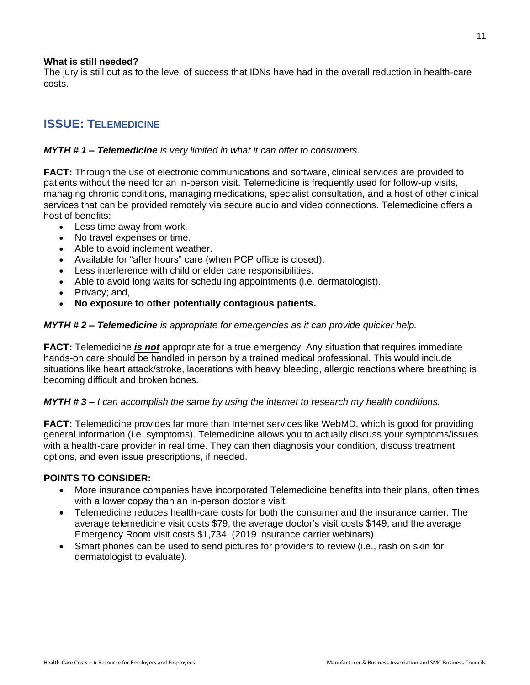## **What is still needed?**

The jury is still out as to the level of success that IDNs have had in the overall reduction in health-care costs.

## **ISSUE: TELEMEDICINE**

## *MYTH # 1 – Telemedicine is very limited in what it can offer to consumers.*

**FACT:** Through the use of electronic communications and software, clinical services are provided to patients without the need for an in-person visit. Telemedicine is frequently used for follow-up visits, managing chronic conditions, managing medications, specialist consultation, and a host of other clinical services that can be provided remotely via secure audio and video connections. Telemedicine offers a host of benefits:

- Less time away from work.
- No travel expenses or time.
- Able to avoid inclement weather.
- Available for "after hours" care (when PCP office is closed).
- Less interference with child or elder care responsibilities.
- Able to avoid long waits for scheduling appointments (i.e. dermatologist).
- Privacy: and,
- **No exposure to other potentially contagious patients.**

## *MYTH # 2 – Telemedicine is appropriate for emergencies as it can provide quicker help.*

**FACT:** Telemedicine *is not* appropriate for a true emergency! Any situation that requires immediate hands-on care should be handled in person by a trained medical professional. This would include situations like heart attack/stroke, lacerations with heavy bleeding, allergic reactions where breathing is becoming difficult and broken bones.

## *MYTH # 3 – I can accomplish the same by using the internet to research my health conditions.*

**FACT:** Telemedicine provides far more than Internet services like WebMD, which is good for providing general information (i.e. symptoms). Telemedicine allows you to actually discuss your symptoms/issues with a health-care provider in real time. They can then diagnosis your condition, discuss treatment options, and even issue prescriptions, if needed.

## **POINTS TO CONSIDER:**

- More insurance companies have incorporated Telemedicine benefits into their plans, often times with a lower copay than an in-person doctor's visit.
- Telemedicine reduces health-care costs for both the consumer and the insurance carrier. The average telemedicine visit costs \$79, the average doctor's visit costs \$149, and the average Emergency Room visit costs \$1,734. (2019 insurance carrier webinars)
- <span id="page-14-0"></span>• Smart phones can be used to send pictures for providers to review (i.e., rash on skin for dermatologist to evaluate).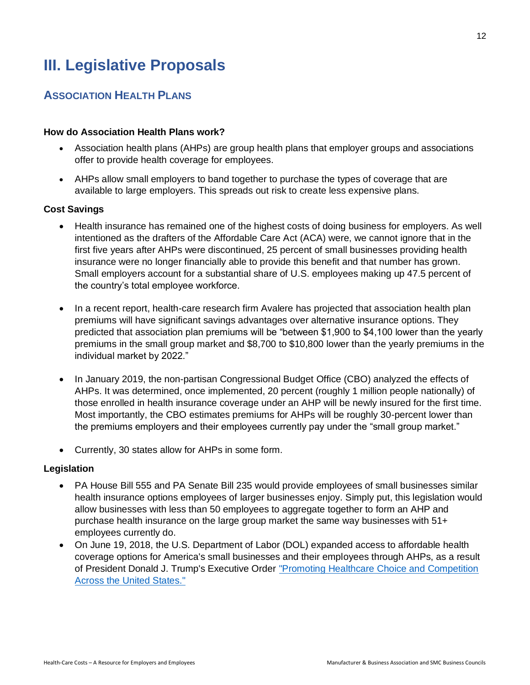# **III. Legislative Proposals**

## **ASSOCIATION HEALTH PLANS**

## **How do Association Health Plans work?**

- Association health plans (AHPs) are group health plans that employer groups and associations offer to provide health coverage for employees.
- AHPs allow small employers to band together to purchase the types of coverage that are available to large employers. This spreads out risk to create less expensive plans.

## **Cost Savings**

- Health insurance has remained one of the highest costs of doing business for employers. As well intentioned as the drafters of the Affordable Care Act (ACA) were, we cannot ignore that in the first five years after AHPs were discontinued, 25 percent of small businesses providing health insurance were no longer financially able to provide this benefit and that number has grown. Small employers account for a substantial share of U.S. employees making up 47.5 percent of the country's total employee workforce.
- In a recent report, health-care research firm Avalere has projected that association health plan premiums will have significant savings advantages over alternative insurance options. They predicted that association plan premiums will be "between \$1,900 to \$4,100 lower than the yearly premiums in the small group market and \$8,700 to \$10,800 lower than the yearly premiums in the individual market by 2022."
- In January 2019, the non-partisan Congressional Budget Office (CBO) analyzed the effects of AHPs. It was determined, once implemented, 20 percent (roughly 1 million people nationally) of those enrolled in health insurance coverage under an AHP will be newly insured for the first time. Most importantly, the CBO estimates premiums for AHPs will be roughly 30-percent lower than the premiums employers and their employees currently pay under the "small group market."
- Currently, 30 states allow for AHPs in some form.

## **Legislation**

- PA House Bill 555 and PA Senate Bill 235 would provide employees of small businesses similar health insurance options employees of larger businesses enjoy. Simply put, this legislation would allow businesses with less than 50 employees to aggregate together to form an AHP and purchase health insurance on the large group market the same way businesses with 51+ employees currently do.
- <span id="page-15-0"></span>• On June 19, 2018, the U.S. Department of Labor (DOL) expanded access to affordable health coverage options for America's small businesses and their employees through AHPs, as a result of President Donald J. Trump's Executive Order "Promoting [Healthcare Choice and Competition](https://www.whitehouse.gov/presidential-actions/presidential-executive-order-promoting-healthcare-choice-competition-across-united-states/)  [Across the United States."](https://www.whitehouse.gov/presidential-actions/presidential-executive-order-promoting-healthcare-choice-competition-across-united-states/)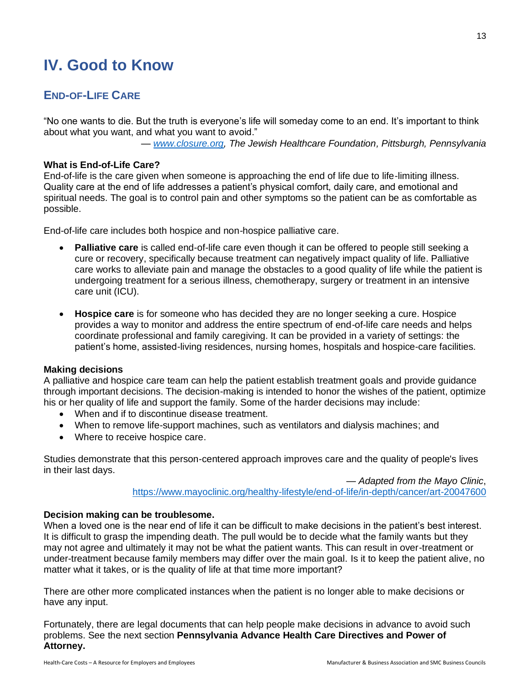# **IV. Good to Know**

## **END-OF-LIFE CARE**

"No one wants to die. But the truth is everyone's life will someday come to an end. It's important to think about what you want, and what you want to avoid."

*— [www.closure.org,](http://www.closure.org/) The Jewish Healthcare Foundation, Pittsburgh, Pennsylvania*

## **What is End-of-Life Care?**

End-of-life is the care given when someone is approaching the end of life due to life-limiting illness. Quality care at the end of life addresses a patient's physical comfort, daily care, and emotional and spiritual needs. The goal is to control pain and other symptoms so the patient can be as comfortable as possible.

End-of-life care includes both hospice and non-hospice palliative care.

- **Palliative care** is called end-of-life care even though it can be offered to people still seeking a cure or recovery, specifically because treatment can negatively impact quality of life. Palliative care works to alleviate pain and manage the obstacles to a good quality of life while the patient is undergoing treatment for a serious illness, chemotherapy, surgery or treatment in an intensive care unit (ICU).
- **Hospice care** is for someone who has decided they are no longer seeking a cure. Hospice provides a way to monitor and address the entire spectrum of end-of-life care needs and helps coordinate professional and family caregiving. It can be provided in a variety of settings: the patient's home, assisted-living residences, nursing homes, hospitals and hospice-care facilities.

## **Making decisions**

A palliative and hospice care team can help the patient establish treatment goals and provide guidance through important decisions. The decision-making is intended to honor the wishes of the patient, optimize his or her quality of life and support the family. Some of the harder decisions may include:

- When and if to discontinue disease treatment.
- When to remove life-support machines, such as ventilators and dialysis machines; and
- Where to receive hospice care.

Studies demonstrate that this person-centered approach improves care and the quality of people's lives in their last days.

> — *Adapted from the Mayo Clinic*, <https://www.mayoclinic.org/healthy-lifestyle/end-of-life/in-depth/cancer/art-20047600>

## **Decision making can be troublesome.**

When a loved one is the near end of life it can be difficult to make decisions in the patient's best interest. It is difficult to grasp the impending death. The pull would be to decide what the family wants but they may not agree and ultimately it may not be what the patient wants. This can result in over-treatment or under-treatment because family members may differ over the main goal. Is it to keep the patient alive, no matter what it takes, or is the quality of life at that time more important?

There are other more complicated instances when the patient is no longer able to make decisions or have any input.

Fortunately, there are legal documents that can help people make decisions in advance to avoid such problems. See the next section **Pennsylvania Advance Health Care Directives and Power of Attorney.**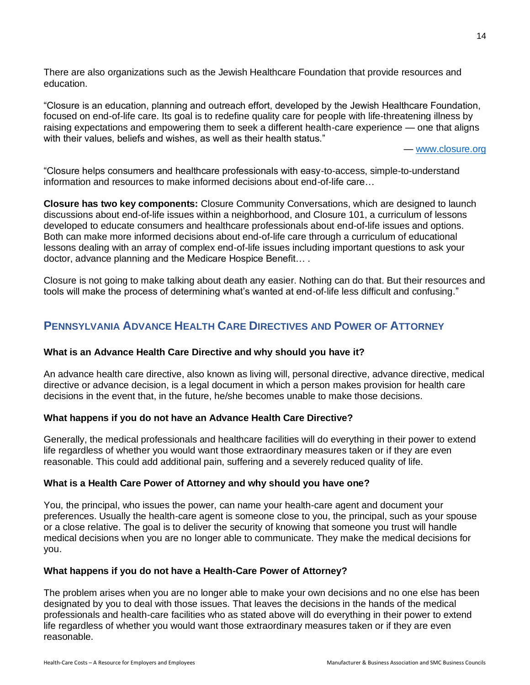There are also organizations such as the Jewish Healthcare Foundation that provide resources and education.

"Closure is an education, planning and outreach effort, developed by the Jewish Healthcare Foundation, focused on end-of-life care. Its goal is to redefine quality care for people with life-threatening illness by raising expectations and empowering them to seek a different health-care experience — one that aligns with their values, beliefs and wishes, as well as their health status."

*—* [www.closure.org](http://www.closure.org/)

"Closure helps consumers and healthcare professionals with easy-to-access, simple-to-understand information and resources to make informed decisions about end-of-life care…

**Closure has two key components:** Closure Community Conversations, which are designed to launch discussions about end-of-life issues within a neighborhood, and Closure 101, a curriculum of lessons developed to educate consumers and healthcare professionals about end-of-life issues and options. Both can make more informed decisions about end-of-life care through a curriculum of educational lessons dealing with an array of complex end-of-life issues including important questions to ask your doctor, advance planning and the Medicare Hospice Benefit… .

Closure is not going to make talking about death any easier. Nothing can do that. But their resources and tools will make the process of determining what's wanted at end-of-life less difficult and confusing."

## **PENNSYLVANIA ADVANCE HEALTH CARE DIRECTIVES AND POWER OF ATTORNEY**

## **What is an Advance Health Care Directive and why should you have it?**

An advance health care directive, also known as living will, personal directive, advance directive, medical directive or advance decision, is a legal document in which a person makes provision for health care decisions in the event that, in the future, he/she becomes unable to make those decisions.

#### **What happens if you do not have an Advance Health Care Directive?**

Generally, the medical professionals and healthcare facilities will do everything in their power to extend life regardless of whether you would want those extraordinary measures taken or if they are even reasonable. This could add additional pain, suffering and a severely reduced quality of life.

#### **What is a Health Care Power of Attorney and why should you have one?**

You, the principal, who issues the power, can name your health-care agent and document your preferences. Usually the health-care agent is someone close to you, the principal, such as your spouse or a close relative. The goal is to deliver the security of knowing that someone you trust will handle medical decisions when you are no longer able to communicate. They make the medical decisions for you.

## **What happens if you do not have a Health-Care Power of Attorney?**

The problem arises when you are no longer able to make your own decisions and no one else has been designated by you to deal with those issues. That leaves the decisions in the hands of the medical professionals and health-care facilities who as stated above will do everything in their power to extend life regardless of whether you would want those extraordinary measures taken or if they are even reasonable.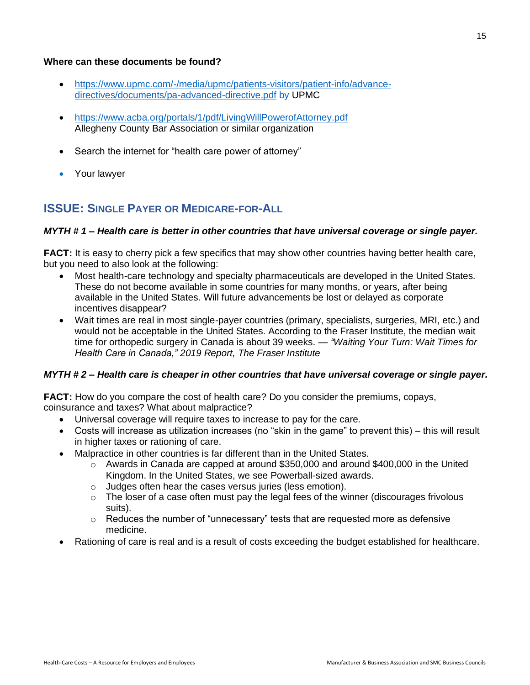## **Where can these documents be found?**

- [https://www.upmc.com/-/media/upmc/patients-visitors/patient-info/advance](https://www.upmc.com/-/media/upmc/patients-visitors/patient-info/advance-directives/documents/pa-advanced-directive.pdf)[directives/documents/pa-advanced-directive.pdf](https://www.upmc.com/-/media/upmc/patients-visitors/patient-info/advance-directives/documents/pa-advanced-directive.pdf) by UPMC
- <https://www.acba.org/portals/1/pdf/LivingWillPowerofAttorney.pdf> Allegheny County Bar Association or similar organization
- Search the internet for "health care power of attorney"
- Your lawyer

## **ISSUE: SINGLE PAYER OR MEDICARE-FOR-ALL**

## *MYTH # 1 – Health care is better in other countries that have universal coverage or single payer.*

**FACT:** It is easy to cherry pick a few specifics that may show other countries having better health care, but you need to also look at the following:

- Most health-care technology and specialty pharmaceuticals are developed in the United States. These do not become available in some countries for many months, or years, after being available in the United States. Will future advancements be lost or delayed as corporate incentives disappear?
- Wait times are real in most single-payer countries (primary, specialists, surgeries, MRI, etc.) and would not be acceptable in the United States. According to the Fraser Institute, the median wait time for orthopedic surgery in Canada is about 39 weeks. *— "Waiting Your Turn: Wait Times for Health Care in Canada," 2019 Report, The Fraser Institute*

## *MYTH # 2 – Health care is cheaper in other countries that have universal coverage or single payer.*

**FACT:** How do you compare the cost of health care? Do you consider the premiums, copays, coinsurance and taxes? What about malpractice?

- Universal coverage will require taxes to increase to pay for the care.
- Costs will increase as utilization increases (no "skin in the game" to prevent this) this will result in higher taxes or rationing of care.
- Malpractice in other countries is far different than in the United States.
	- $\circ$  Awards in Canada are capped at around \$350,000 and around \$400,000 in the United Kingdom. In the United States, we see Powerball-sized awards.
	- $\circ$  Judges often hear the cases versus juries (less emotion).
	- $\circ$  The loser of a case often must pay the legal fees of the winner (discourages frivolous suits).
	- $\circ$  Reduces the number of "unnecessary" tests that are requested more as defensive medicine.
- Rationing of care is real and is a result of costs exceeding the budget established for healthcare.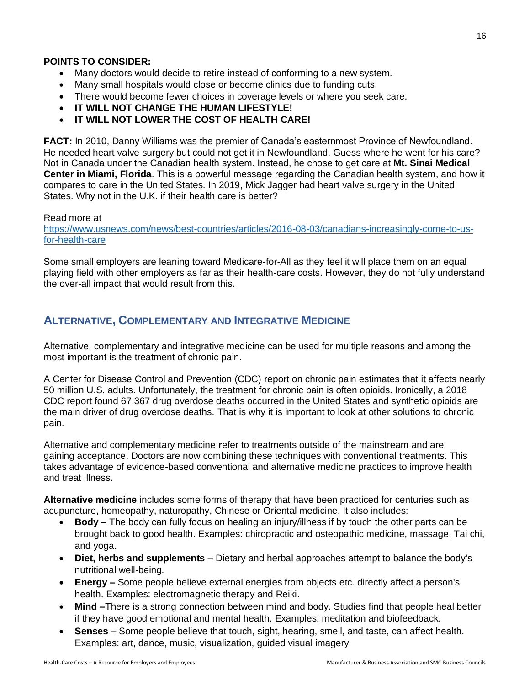## **POINTS TO CONSIDER:**

- Many doctors would decide to retire instead of conforming to a new system.
- Many small hospitals would close or become clinics due to funding cuts.
- There would become fewer choices in coverage levels or where you seek care.
- **IT WILL NOT CHANGE THE HUMAN LIFESTYLE!**
- **IT WILL NOT LOWER THE COST OF HEALTH CARE!**

**FACT:** In 2010, Danny Williams was the premier of Canada's easternmost Province of Newfoundland. He needed heart valve surgery but could not get it in Newfoundland. Guess where he went for his care? Not in Canada under the Canadian health system. Instead, he chose to get care at **Mt. Sinai Medical Center in Miami, Florida**. This is a powerful message regarding the Canadian health system, and how it compares to care in the United States. In 2019, Mick Jagger had heart valve surgery in the United States. Why not in the U.K. if their health care is better?

## Read more at

[https://www.usnews.com/news/best-countries/articles/2016-08-03/canadians-increasingly-come-to-us](https://www.usnews.com/news/best-countries/articles/2016-08-03/canadians-increasingly-come-to-us-for-health-care)[for-health-care](https://www.usnews.com/news/best-countries/articles/2016-08-03/canadians-increasingly-come-to-us-for-health-care)

Some small employers are leaning toward Medicare-for-All as they feel it will place them on an equal playing field with other employers as far as their health-care costs. However, they do not fully understand the over-all impact that would result from this.

## **ALTERNATIVE, COMPLEMENTARY AND INTEGRATIVE MEDICINE**

Alternative, complementary and integrative medicine can be used for multiple reasons and among the most important is the treatment of chronic pain.

A Center for Disease Control and Prevention (CDC) report on chronic pain estimates that it affects nearly 50 million U.S. adults. Unfortunately, the treatment for chronic pain is often opioids. Ironically, a 2018 CDC report found 67,367 drug overdose deaths occurred in the United States and synthetic opioids are the main driver of drug overdose deaths. That is why it is important to look at other solutions to chronic pain.

Alternative and complementary medicine **r**efer to treatments outside of the mainstream and are gaining acceptance. Doctors are now combining these techniques with conventional treatments. This takes advantage of evidence-based conventional and alternative medicine practices to improve health and treat illness.

**Alternative medicine** includes some forms of therapy that have been practiced for centuries such as acupuncture, homeopathy, naturopathy, Chinese or Oriental medicine. It also includes:

- **Body** *–* The body can fully focus on healing an injury/illness if by touch the other parts can be brought back to good health. Examples: chiropractic and osteopathic medicine, massage, Tai chi, and yoga.
- **Diet, herbs and supplements** *–* Dietary and herbal approaches attempt to balance the body's nutritional well-being.
- **Energy** *–* Some people believe external energies from objects etc. directly affect a person's health. Examples: electromagnetic therapy and Reiki.
- **Mind** *–*There is a strong connection between mind and body. Studies find that people heal better if they have good emotional and mental health. Examples: meditation and biofeedback.
- **Senses** *–* Some people believe that touch, sight, hearing, smell, and taste, can affect health. Examples: art, dance, music, visualization, guided visual imagery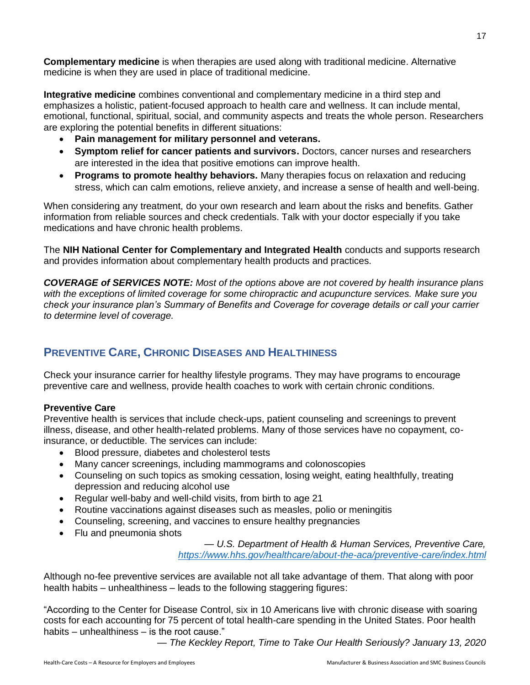**Complementary medicine** is when therapies are used along with traditional medicine. Alternative medicine is when they are used in place of traditional medicine.

**Integrative medicine** combines conventional and complementary medicine in a third step and emphasizes a holistic, patient-focused approach to health care and wellness. It can include mental, emotional, functional, spiritual, social, and community aspects and treats the whole person. Researchers are exploring the potential benefits in different situations:

- **Pain management for military personnel and veterans.**
- **Symptom relief for cancer patients and survivors.** Doctors, cancer nurses and researchers are interested in the idea that positive emotions can improve health.
- **Programs to promote healthy behaviors.** Many therapies focus on relaxation and reducing stress, which can calm emotions, relieve anxiety, and increase a sense of health and well-being.

When considering any treatment, do your own research and learn about the risks and benefits. Gather information from reliable sources and check credentials. Talk with your doctor especially if you take medications and have chronic health problems.

The **NIH National Center for Complementary and Integrated Health** conducts and supports research and provides information about complementary health products and practices.

*COVERAGE of SERVICES NOTE: Most of the options above are not covered by health insurance plans with the exceptions of limited coverage for some chiropractic and acupuncture services. Make sure you check your insurance plan's Summary of Benefits and Coverage for coverage details or call your carrier to determine level of coverage.*

## **PREVENTIVE CARE, CHRONIC DISEASES AND HEALTHINESS**

Check your insurance carrier for healthy lifestyle programs. They may have programs to encourage preventive care and wellness, provide health coaches to work with certain chronic conditions.

## **Preventive Care**

Preventive health is services that include check-ups, patient counseling and screenings to prevent illness, disease, and other health-related problems. Many of those services have no copayment, coinsurance, or deductible. The services can include:

- Blood pressure, diabetes and cholesterol tests
- Many cancer screenings, including mammograms and colonoscopies
- Counseling on such topics as smoking cessation, losing weight, eating healthfully, treating depression and reducing alcohol use
- Regular well-baby and well-child visits, from birth to age 21
- Routine vaccinations against diseases such as measles, polio or meningitis
- Counseling, screening, and vaccines to ensure healthy pregnancies
- Flu and pneumonia shots

*— U.S. Department of Health & Human Services, Preventive Care, <https://www.hhs.gov/healthcare/about-the-aca/preventive-care/index.html>*

Although no-fee preventive services are available not all take advantage of them. That along with poor health habits – unhealthiness – leads to the following staggering figures:

"According to the Center for Disease Control, six in 10 Americans live with chronic disease with soaring costs for each accounting for 75 percent of total health-care spending in the United States. Poor health habits – unhealthiness – is the root cause."

*— The Keckley Report, Time to Take Our Health Seriously? January 13, 2020*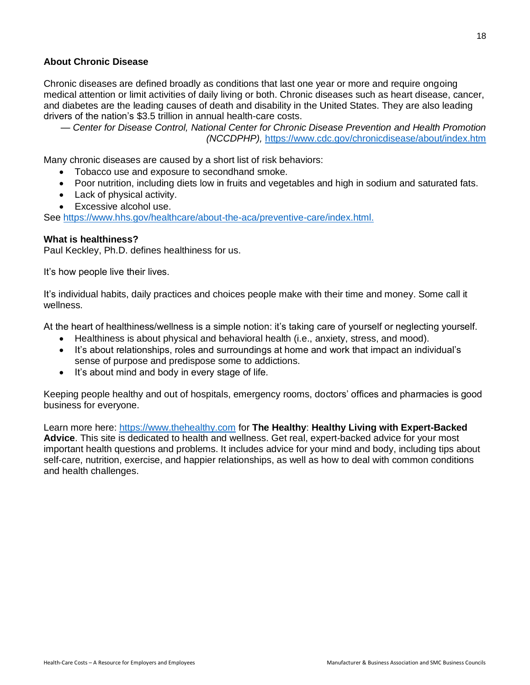## **About Chronic Disease**

Chronic diseases are defined broadly as conditions that last one year or more and require ongoing medical attention or limit activities of daily living or both. Chronic diseases such as heart disease, cancer, and diabetes are the leading causes of death and disability in the United States. They are also leading drivers of the nation's \$3.5 trillion in annual health-care costs.

— *Center for Disease Control, National Center for Chronic Disease Prevention and Health Promotion (NCCDPHP),* <https://www.cdc.gov/chronicdisease/about/index.htm>

Many chronic diseases are caused by a short list of risk behaviors:

- Tobacco use and exposure to secondhand smoke.
- Poor nutrition, including diets low in fruits and vegetables and high in sodium and saturated fats.
- Lack of physical activity.
- Excessive alcohol use.

See [https://www.hhs.gov/healthcare/about-the-aca/preventive-care/index.html.](https://www.hhs.gov/healthcare/about-the-aca/preventive-care/index.html)

## **What is healthiness?**

Paul Keckley, Ph.D. defines healthiness for us.

It's how people live their lives.

It's individual habits, daily practices and choices people make with their time and money. Some call it wellness.

At the heart of healthiness/wellness is a simple notion: it's taking care of yourself or neglecting yourself.

- Healthiness is about physical and behavioral health (i.e., anxiety, stress, and mood).
- It's about relationships, roles and surroundings at home and work that impact an individual's sense of purpose and predispose some to addictions.
- It's about mind and body in every stage of life.

Keeping people healthy and out of hospitals, emergency rooms, doctors' offices and pharmacies is good business for everyone.

Learn more here: [https://www.thehealthy.com](https://www.thehealthy.com/) for **The Healthy**: **Healthy Living with Expert-Backed Advice**. This site is dedicated to health and wellness. Get real, expert-backed advice for your most important health questions and problems. It includes advice for your mind and body, including tips about self-care, nutrition, exercise, and happier relationships, as well as how to deal with common conditions and health challenges.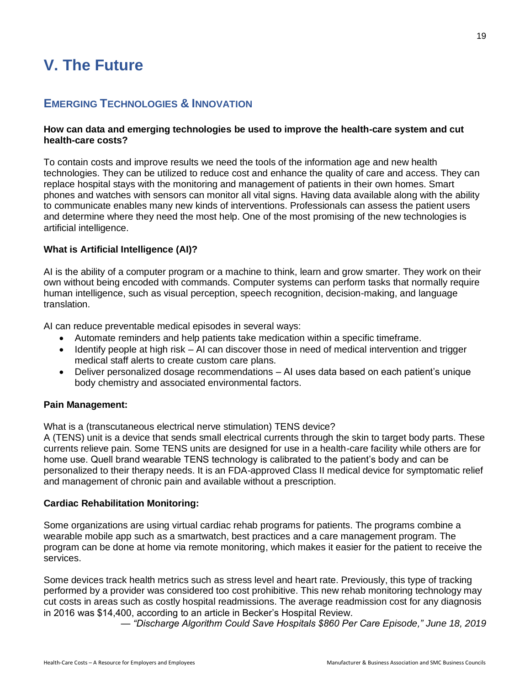# **V. The Future**

## **EMERGING TECHNOLOGIES & INNOVATION**

## **How can data and emerging technologies be used to improve the health-care system and cut health-care costs?**

To contain costs and improve results we need the tools of the information age and new health technologies. They can be utilized to reduce cost and enhance the quality of care and access. They can replace hospital stays with the monitoring and management of patients in their own homes. Smart phones and watches with sensors can monitor all vital signs. Having data available along with the ability to communicate enables many new kinds of interventions. Professionals can assess the patient users and determine where they need the most help. One of the most promising of the new technologies is artificial intelligence.

## **What is Artificial Intelligence (AI)?**

AI is the ability of a computer program or a machine to think, learn and grow smarter. They work on their own without being encoded with commands. Computer systems can perform tasks that normally require human intelligence, such as visual perception, speech recognition, decision-making, and language translation.

AI can reduce preventable medical episodes in several ways:

- Automate reminders and help patients take medication within a specific timeframe.
- Identify people at high risk AI can discover those in need of medical intervention and trigger medical staff alerts to create custom care plans.
- Deliver personalized dosage recommendations AI uses data based on each patient's unique body chemistry and associated environmental factors.

## **Pain Management:**

What is a (transcutaneous electrical nerve stimulation) TENS device?

A (TENS) unit is a device that sends small electrical currents through the skin to target body parts. These currents relieve pain. Some TENS units are designed for use in a health-care facility while others are for home use. Quell brand wearable TENS technology is calibrated to the patient's body and can be personalized to their therapy needs. It is an FDA-approved Class II medical device for symptomatic relief and management of chronic pain and available without a prescription.

## **Cardiac Rehabilitation Monitoring:**

Some organizations are using virtual cardiac rehab programs for patients. The programs combine a wearable mobile app such as a smartwatch, best practices and a care management program. The program can be done at home via remote monitoring, which makes it easier for the patient to receive the services.

Some devices track health metrics such as stress level and heart rate. Previously, this type of tracking performed by a provider was considered too cost prohibitive. This new rehab monitoring technology may cut costs in areas such as costly hospital readmissions. The average readmission cost for any diagnosis in 2016 was \$14,400, according to an article in Becker's Hospital Review.

*— "Discharge Algorithm Could Save Hospitals \$860 Per Care Episode," June 18, 2019*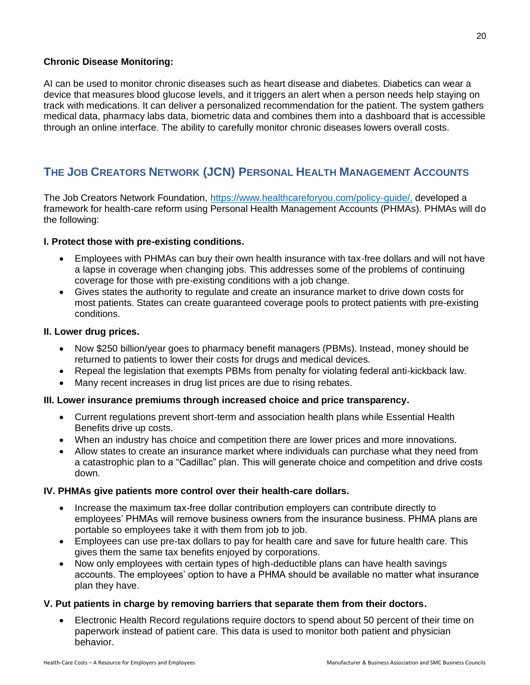## **Chronic Disease Monitoring:**

AI can be used to monitor chronic diseases such as heart disease and diabetes. Diabetics can wear a device that measures blood glucose levels, and it triggers an alert when a person needs help staying on track with medications. It can deliver a personalized recommendation for the patient. The system gathers medical data, pharmacy labs data, biometric data and combines them into a dashboard that is accessible through an online interface. The ability to carefully monitor chronic diseases lowers overall costs.

## **THE JOB CREATORS NETWORK (JCN) PERSONAL HEALTH MANAGEMENT ACCOUNTS**

The Job Creators Network Foundation, [https://www.healthcareforyou.com/policy-guide/,](https://www.healthcareforyou.com/policy-guide/) developed a framework for health-care reform using Personal Health Management Accounts (PHMAs). PHMAs will do the following:

## **I. Protect those with pre-existing conditions.**

- Employees with PHMAs can buy their own health insurance with tax-free dollars and will not have a lapse in coverage when changing jobs. This addresses some of the problems of continuing coverage for those with pre-existing conditions with a job change.
- Gives states the authority to regulate and create an insurance market to drive down costs for most patients. States can create guaranteed coverage pools to protect patients with pre-existing conditions.

## **II. Lower drug prices.**

- Now \$250 billion/year goes to pharmacy benefit managers (PBMs). Instead, money should be returned to patients to lower their costs for drugs and medical devices.
- Repeal the legislation that exempts PBMs from penalty for violating federal anti-kickback law.
- Many recent increases in drug list prices are due to rising rebates.

## **III. Lower insurance premiums through increased choice and price transparency.**

- Current regulations prevent short-term and association health plans while Essential Health Benefits drive up costs.
- When an industry has choice and competition there are lower prices and more innovations.
- Allow states to create an insurance market where individuals can purchase what they need from a catastrophic plan to a "Cadillac" plan. This will generate choice and competition and drive costs down.

## **IV. PHMAs give patients more control over their health-care dollars.**

- Increase the maximum tax-free dollar contribution employers can contribute directly to employees' PHMAs will remove business owners from the insurance business. PHMA plans are portable so employees take it with them from job to job.
- Employees can use pre-tax dollars to pay for health care and save for future health care. This gives them the same tax benefits enjoyed by corporations.
- Now only employees with certain types of high-deductible plans can have health savings accounts. The employees' option to have a PHMA should be available no matter what insurance plan they have.

## **V. Put patients in charge by removing barriers that separate them from their doctors.**

• Electronic Health Record regulations reguire doctors to spend about 50 percent of their time on paperwork instead of patient care. This data is used to monitor both patient and physician behavior.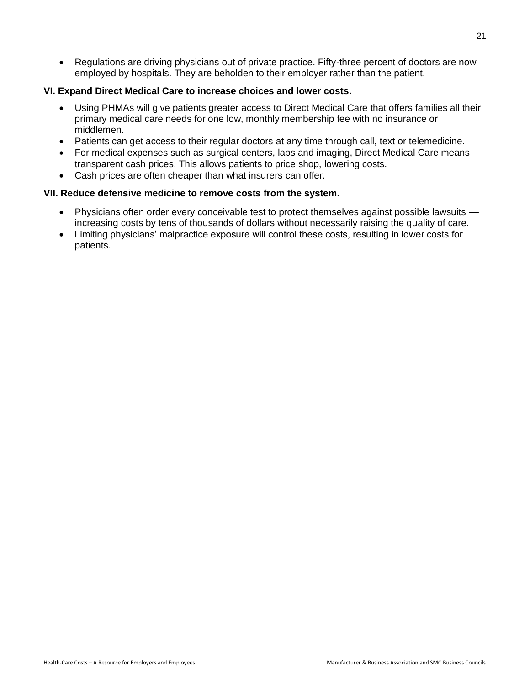• Regulations are driving physicians out of private practice. Fifty-three percent of doctors are now employed by hospitals. They are beholden to their employer rather than the patient.

## **VI. Expand Direct Medical Care to increase choices and lower costs.**

- Using PHMAs will give patients greater access to Direct Medical Care that offers families all their primary medical care needs for one low, monthly membership fee with no insurance or middlemen.
- Patients can get access to their regular doctors at any time through call, text or telemedicine.
- For medical expenses such as surgical centers, labs and imaging, Direct Medical Care means transparent cash prices. This allows patients to price shop, lowering costs.
- Cash prices are often cheaper than what insurers can offer.

## **VII. Reduce defensive medicine to remove costs from the system.**

- Physicians often order every conceivable test to protect themselves against possible lawsuits increasing costs by tens of thousands of dollars without necessarily raising the quality of care.
- Limiting physicians' malpractice exposure will control these costs, resulting in lower costs for patients.